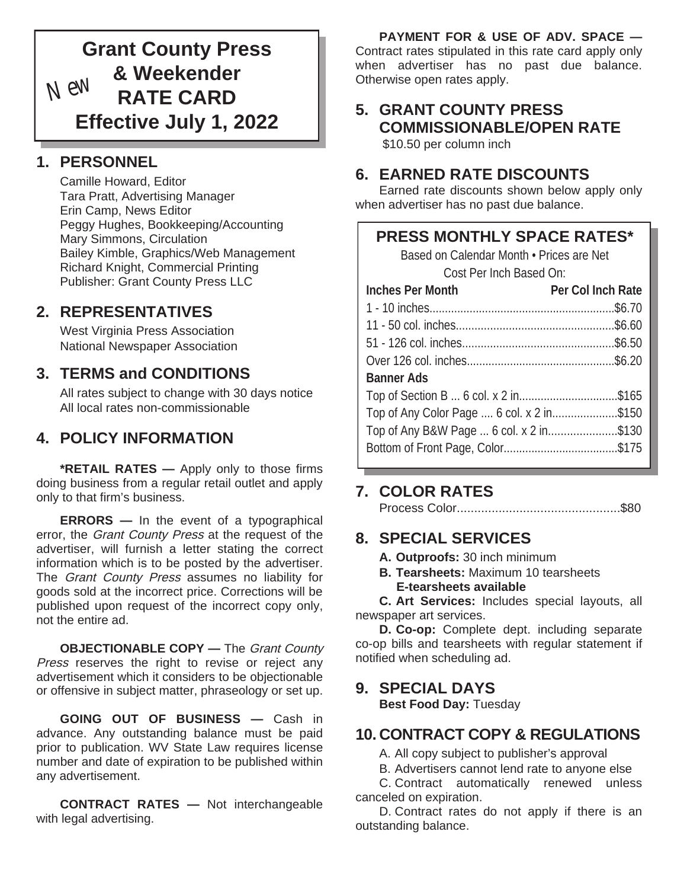# **Grant County Press & Weekender RATE CARD Effective July 1, 2022** *New*

# **1. PERSONNEL**

Camille Howard, Editor Tara Pratt, Advertising Manager Erin Camp, News Editor Peggy Hughes, Bookkeeping/Accounting Mary Simmons, Circulation Bailey Kimble, Graphics/Web Management Richard Knight, Commercial Printing Publisher: Grant County Press LLC

# **2. REPRESENTATIVES**

West Virginia Press Association National Newspaper Association

# **3. TERMS and CONDITIONS**

All rates subject to change with 30 days notice All local rates non-commissionable

# **4. POLICY INFORMATION**

**\*RETAIL RATES —** Apply only to those firms doing business from a regular retail outlet and apply only to that firm's business.

**ERRORS —** In the event of a typographical error, the Grant County Press at the request of the advertiser, will furnish a letter stating the correct information which is to be posted by the advertiser. The Grant County Press assumes no liability for goods sold at the incorrect price. Corrections will be published upon request of the incorrect copy only, not the entire ad.

**OBJECTIONABLE COPY** — The *Grant County* Press reserves the right to revise or reject any advertisement which it considers to be objectionable or offensive in subject matter, phraseology or set up.

**GOING OUT OF BUSINESS —** Cash in advance. Any outstanding balance must be paid prior to publication. WV State Law requires license number and date of expiration to be published within any advertisement.

**CONTRACT RATES —** Not interchangeable with legal advertising.

**PAYMENT FOR & USE OF ADV. SPACE —**  Contract rates stipulated in this rate card apply only when advertiser has no past due balance. Otherwise open rates apply.

#### **5. GRANT COUNTY PRESS COMMISSIONABLE/OPEN RATE** \$10.50 per column inch

# **6. EARNED RATE DISCOUNTS**

Earned rate discounts shown below apply only when advertiser has no past due balance.

# **PRESS MONTHLY SPACE RATES\***

| Based on Calendar Month . Prices are Net  |                   |  |
|-------------------------------------------|-------------------|--|
| Cost Per Inch Based On:                   |                   |  |
| Inches Per Month                          | Per Col Inch Rate |  |
|                                           |                   |  |
|                                           |                   |  |
|                                           |                   |  |
|                                           |                   |  |
| Banner Ads                                |                   |  |
| Top of Section B  6 col. x 2 in\$165      |                   |  |
| Top of Any Color Page  6 col. x 2 in\$150 |                   |  |
| Top of Any B&W Page  6 col. x 2 in\$130   |                   |  |
|                                           |                   |  |
|                                           |                   |  |

# **7. COLOR RATES**

Process Color...............................................\$80

# **8. SPECIAL SERVICES**

- **A. Outproofs:** 30 inch minimum
- **B. Tearsheets:** Maximum 10 tearsheets  **E-tearsheets available**

**C. Art Services:** Includes special layouts, all newspaper art services.

**D. Co-op:** Complete dept. including separate co-op bills and tearsheets with regular statement if notified when scheduling ad.

### **9. SPECIAL DAYS**

**Best Food Day:** Tuesday

# **10. CONTRACT COPY & REGULATIONS**

A. All copy subject to publisher's approval

B. Advertisers cannot lend rate to anyone else

C. Contract automatically renewed unless canceled on expiration.

D. Contract rates do not apply if there is an outstanding balance.